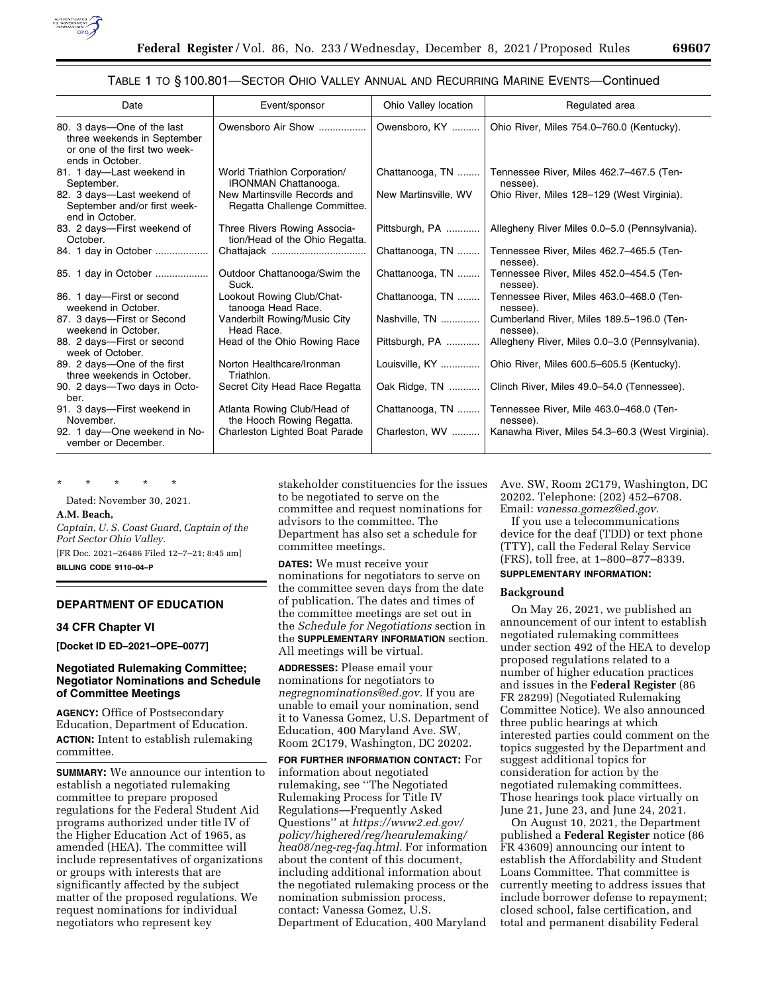

## TABLE 1 TO § 100.801—SECTOR OHIO VALLEY ANNUAL AND RECURRING MARINE EVENTS—Continued

| Date                                                                                                           | Event/sponsor                                                  | Ohio Valley location | Regulated area                                        |
|----------------------------------------------------------------------------------------------------------------|----------------------------------------------------------------|----------------------|-------------------------------------------------------|
| 80. 3 days—One of the last<br>three weekends in September<br>or one of the first two week-<br>ends in October. | Owensboro Air Show                                             | Owensboro, KY        | Ohio River, Miles 754.0-760.0 (Kentucky).             |
| 81. 1 day—Last weekend in<br>September.                                                                        | World Triathlon Corporation/<br><b>IRONMAN Chattanooga.</b>    | Chattanooga, TN      | Tennessee River, Miles 462.7-467.5 (Ten-<br>nessee).  |
| 82. 3 days-Last weekend of<br>September and/or first week-<br>end in October.                                  | New Martinsville Records and<br>Regatta Challenge Committee.   | New Martinsville, WV | Ohio River, Miles 128-129 (West Virginia).            |
| 83. 2 days-First weekend of<br>October.                                                                        | Three Rivers Rowing Associa-<br>tion/Head of the Ohio Regatta. | Pittsburgh, PA       | Allegheny River Miles 0.0–5.0 (Pennsylvania).         |
| 84. 1 day in October                                                                                           |                                                                | Chattanooga, TN      | Tennessee River, Miles 462.7-465.5 (Ten-<br>nessee).  |
| 85. 1 day in October                                                                                           | Outdoor Chattanooga/Swim the<br>Suck.                          | Chattanooga, TN      | Tennessee River, Miles 452.0-454.5 (Ten-<br>nessee).  |
| 86. 1 day-First or second<br>weekend in October.                                                               | Lookout Rowing Club/Chat-<br>tanooga Head Race.                | Chattanooga, TN      | Tennessee River, Miles 463.0-468.0 (Ten-<br>nessee).  |
| 87. 3 days-First or Second<br>weekend in October.                                                              | Vanderbilt Rowing/Music City<br>Head Race.                     | Nashville, TN        | Cumberland River, Miles 189.5-196.0 (Ten-<br>nessee). |
| 88. 2 days-First or second<br>week of October.                                                                 | Head of the Ohio Rowing Race                                   | Pittsburgh, PA       | Allegheny River, Miles 0.0–3.0 (Pennsylvania).        |
| 89. 2 days-One of the first<br>three weekends in October.                                                      | Norton Healthcare/Ironman<br>Triathlon.                        | Louisville, KY       | Ohio River, Miles 600.5-605.5 (Kentucky).             |
| 90. 2 days—Two days in Octo-<br>ber.                                                                           | Secret City Head Race Regatta                                  | Oak Ridge, TN        | Clinch River, Miles 49.0-54.0 (Tennessee).            |
| 91. 3 days-First weekend in<br>November.                                                                       | Atlanta Rowing Club/Head of<br>the Hooch Rowing Regatta.       | Chattanooga, TN      | Tennessee River, Mile 463.0-468.0 (Ten-<br>nessee).   |
| 92. 1 day-One weekend in No-<br>vember or December.                                                            | Charleston Lighted Boat Parade                                 | Charleston, WV       | Kanawha River, Miles 54.3-60.3 (West Virginia).       |

\* \* \* \* \*

Dated: November 30, 2021.

#### **A.M. Beach,**

*Captain, U. S. Coast Guard, Captain of the Port Sector Ohio Valley.*  [FR Doc. 2021–26486 Filed 12–7–21; 8:45 am]

**BILLING CODE 9110–04–P** 

# **DEPARTMENT OF EDUCATION**

## **34 CFR Chapter VI**

**[Docket ID ED–2021–OPE–0077]** 

# **Negotiated Rulemaking Committee; Negotiator Nominations and Schedule of Committee Meetings**

**AGENCY:** Office of Postsecondary Education, Department of Education. **ACTION:** Intent to establish rulemaking committee.

**SUMMARY:** We announce our intention to establish a negotiated rulemaking committee to prepare proposed regulations for the Federal Student Aid programs authorized under title IV of the Higher Education Act of 1965, as amended (HEA). The committee will include representatives of organizations or groups with interests that are significantly affected by the subject matter of the proposed regulations. We request nominations for individual negotiators who represent key

stakeholder constituencies for the issues to be negotiated to serve on the committee and request nominations for advisors to the committee. The Department has also set a schedule for committee meetings.

**DATES:** We must receive your nominations for negotiators to serve on the committee seven days from the date of publication. The dates and times of the committee meetings are set out in the *Schedule for Negotiations* section in the **SUPPLEMENTARY INFORMATION** section. All meetings will be virtual.

**ADDRESSES:** Please email your nominations for negotiators to *[negregnominations@ed.gov.](mailto:negregnominations@ed.gov)* If you are unable to email your nomination, send it to Vanessa Gomez, U.S. Department of Education, 400 Maryland Ave. SW, Room 2C179, Washington, DC 20202.

**FOR FURTHER INFORMATION CONTACT:** For information about negotiated rulemaking, see ''The Negotiated Rulemaking Process for Title IV Regulations—Frequently Asked Questions'' at *[https://www2.ed.gov/](https://www2.ed.gov/policy/highered/reg/hearulemaking/hea08/neg-reg-faq.html)  [policy/highered/reg/hearulemaking/](https://www2.ed.gov/policy/highered/reg/hearulemaking/hea08/neg-reg-faq.html) [hea08/neg-reg-faq.html.](https://www2.ed.gov/policy/highered/reg/hearulemaking/hea08/neg-reg-faq.html)* For information about the content of this document, including additional information about the negotiated rulemaking process or the nomination submission process, contact: Vanessa Gomez, U.S. Department of Education, 400 Maryland

Ave. SW, Room 2C179, Washington, DC 20202. Telephone: (202) 452–6708. Email: *[vanessa.gomez@ed.gov.](mailto:vanessa.gomez@ed.gov)* 

If you use a telecommunications device for the deaf (TDD) or text phone (TTY), call the Federal Relay Service (FRS), toll free, at 1–800–877–8339. **SUPPLEMENTARY INFORMATION:** 

# **Background**

On May 26, 2021, we published an announcement of our intent to establish negotiated rulemaking committees under section 492 of the HEA to develop proposed regulations related to a number of higher education practices and issues in the **Federal Register** (86 FR 28299) (Negotiated Rulemaking Committee Notice). We also announced three public hearings at which interested parties could comment on the topics suggested by the Department and suggest additional topics for consideration for action by the negotiated rulemaking committees. Those hearings took place virtually on June 21, June 23, and June 24, 2021.

On August 10, 2021, the Department published a **Federal Register** notice (86 FR 43609) announcing our intent to establish the Affordability and Student Loans Committee. That committee is currently meeting to address issues that include borrower defense to repayment; closed school, false certification, and total and permanent disability Federal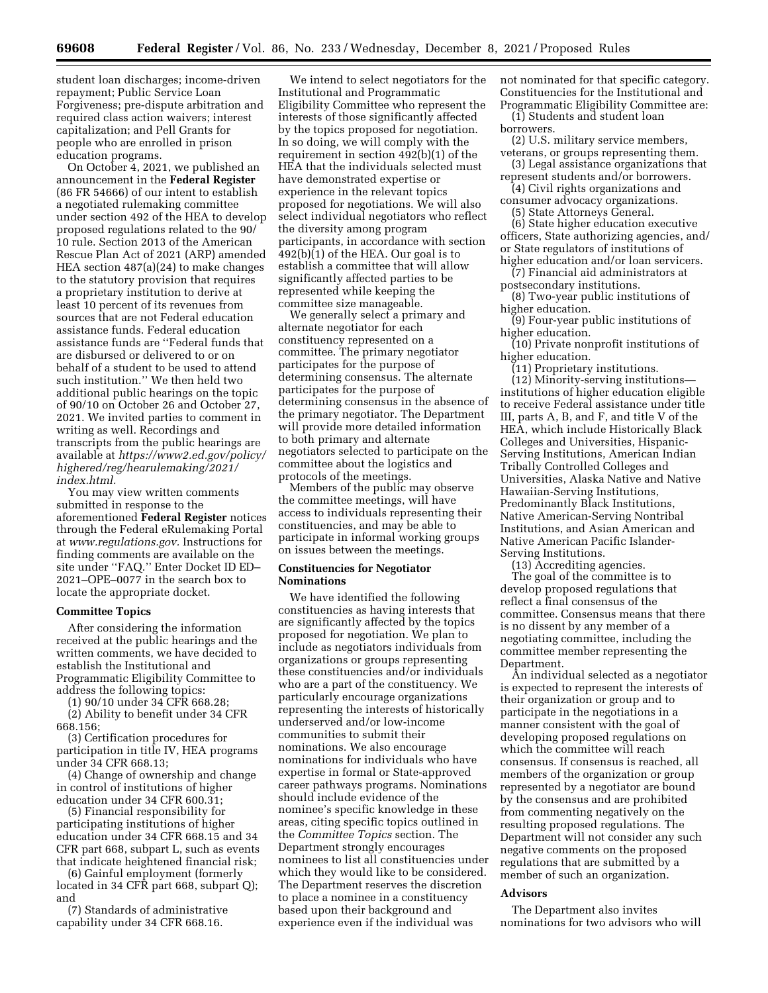student loan discharges; income-driven repayment; Public Service Loan Forgiveness; pre-dispute arbitration and required class action waivers; interest capitalization; and Pell Grants for people who are enrolled in prison education programs.

On October 4, 2021, we published an announcement in the **Federal Register**  (86 FR 54666) of our intent to establish a negotiated rulemaking committee under section 492 of the HEA to develop proposed regulations related to the 90/ 10 rule. Section 2013 of the American Rescue Plan Act of 2021 (ARP) amended HEA section 487(a)(24) to make changes to the statutory provision that requires a proprietary institution to derive at least 10 percent of its revenues from sources that are not Federal education assistance funds. Federal education assistance funds are ''Federal funds that are disbursed or delivered to or on behalf of a student to be used to attend such institution.'' We then held two additional public hearings on the topic of 90/10 on October 26 and October 27, 2021. We invited parties to comment in writing as well. Recordings and transcripts from the public hearings are available at *[https://www2.ed.gov/policy/](https://www2.ed.gov/policy/highered/reg/hearulemaking/2021/index.html)  [highered/reg/hearulemaking/2021/](https://www2.ed.gov/policy/highered/reg/hearulemaking/2021/index.html) [index.html.](https://www2.ed.gov/policy/highered/reg/hearulemaking/2021/index.html)* 

You may view written comments submitted in response to the aforementioned **Federal Register** notices through the Federal eRulemaking Portal at *[www.regulations.gov.](http://www.regulations.gov)* Instructions for finding comments are available on the site under ''FAQ.'' Enter Docket ID ED– 2021–OPE–0077 in the search box to locate the appropriate docket.

## **Committee Topics**

After considering the information received at the public hearings and the written comments, we have decided to establish the Institutional and Programmatic Eligibility Committee to address the following topics:

(1) 90/10 under 34 CFR 668.28; (2) Ability to benefit under 34 CFR 668.156;

(3) Certification procedures for participation in title IV, HEA programs under 34 CFR 668.13;

(4) Change of ownership and change in control of institutions of higher education under 34 CFR 600.31;

(5) Financial responsibility for participating institutions of higher education under 34 CFR 668.15 and 34 CFR part 668, subpart L, such as events that indicate heightened financial risk;

(6) Gainful employment (formerly located in 34 CFR part 668, subpart Q); and

(7) Standards of administrative capability under 34 CFR 668.16.

We intend to select negotiators for the Institutional and Programmatic Eligibility Committee who represent the interests of those significantly affected by the topics proposed for negotiation. In so doing, we will comply with the requirement in section 492(b)(1) of the HEA that the individuals selected must have demonstrated expertise or experience in the relevant topics proposed for negotiations. We will also select individual negotiators who reflect the diversity among program participants, in accordance with section 492(b)(1) of the HEA. Our goal is to establish a committee that will allow significantly affected parties to be represented while keeping the committee size manageable.

We generally select a primary and alternate negotiator for each constituency represented on a committee. The primary negotiator participates for the purpose of determining consensus. The alternate participates for the purpose of determining consensus in the absence of the primary negotiator. The Department will provide more detailed information to both primary and alternate negotiators selected to participate on the committee about the logistics and protocols of the meetings.

Members of the public may observe the committee meetings, will have access to individuals representing their constituencies, and may be able to participate in informal working groups on issues between the meetings.

## **Constituencies for Negotiator Nominations**

We have identified the following constituencies as having interests that are significantly affected by the topics proposed for negotiation. We plan to include as negotiators individuals from organizations or groups representing these constituencies and/or individuals who are a part of the constituency. We particularly encourage organizations representing the interests of historically underserved and/or low-income communities to submit their nominations. We also encourage nominations for individuals who have expertise in formal or State-approved career pathways programs. Nominations should include evidence of the nominee's specific knowledge in these areas, citing specific topics outlined in the *Committee Topics* section. The Department strongly encourages nominees to list all constituencies under which they would like to be considered. The Department reserves the discretion to place a nominee in a constituency based upon their background and experience even if the individual was

not nominated for that specific category. Constituencies for the Institutional and Programmatic Eligibility Committee are:

(1) Students and student loan borrowers.

(2) U.S. military service members, veterans, or groups representing them.

- (3) Legal assistance organizations that represent students and/or borrowers.
- (4) Civil rights organizations and consumer advocacy organizations.

(5) State Attorneys General.

(6) State higher education executive officers, State authorizing agencies, and/ or State regulators of institutions of higher education and/or loan servicers.

(7) Financial aid administrators at postsecondary institutions.

(8) Two-year public institutions of higher education.

(9) Four-year public institutions of higher education.

(10) Private nonprofit institutions of higher education.

(11) Proprietary institutions.

(12) Minority-serving institutions institutions of higher education eligible to receive Federal assistance under title III, parts A, B, and F, and title V of the HEA, which include Historically Black Colleges and Universities, Hispanic-Serving Institutions, American Indian Tribally Controlled Colleges and Universities, Alaska Native and Native Hawaiian-Serving Institutions, Predominantly Black Institutions, Native American-Serving Nontribal Institutions, and Asian American and Native American Pacific Islander-Serving Institutions.

(13) Accrediting agencies.

The goal of the committee is to develop proposed regulations that reflect a final consensus of the committee. Consensus means that there is no dissent by any member of a negotiating committee, including the committee member representing the Department.

An individual selected as a negotiator is expected to represent the interests of their organization or group and to participate in the negotiations in a manner consistent with the goal of developing proposed regulations on which the committee will reach consensus. If consensus is reached, all members of the organization or group represented by a negotiator are bound by the consensus and are prohibited from commenting negatively on the resulting proposed regulations. The Department will not consider any such negative comments on the proposed regulations that are submitted by a member of such an organization.

#### **Advisors**

The Department also invites nominations for two advisors who will